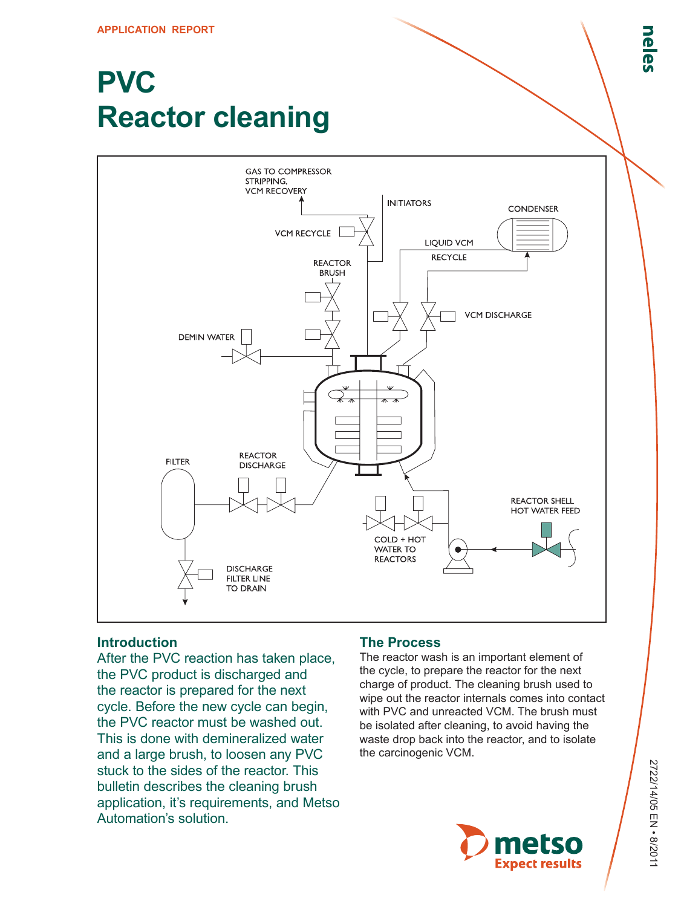# **PVC Reactor cleaning**



## **Introduction**

After the PVC reaction has taken place, the PVC product is discharged and the reactor is prepared for the next cycle. Before the new cycle can begin, the PVC reactor must be washed out. This is done with demineralized water and a large brush, to loosen any PVC stuck to the sides of the reactor. This bulletin describes the cleaning brush application, it's requirements, and Metso Automation's solution.

## **The Process**

The reactor wash is an important element of the cycle, to prepare the reactor for the next charge of product. The cleaning brush used to wipe out the reactor internals comes into contact with PVC and unreacted VCM. The brush must be isolated after cleaning, to avoid having the waste drop back into the reactor, and to isolate the carcinogenic VCM.